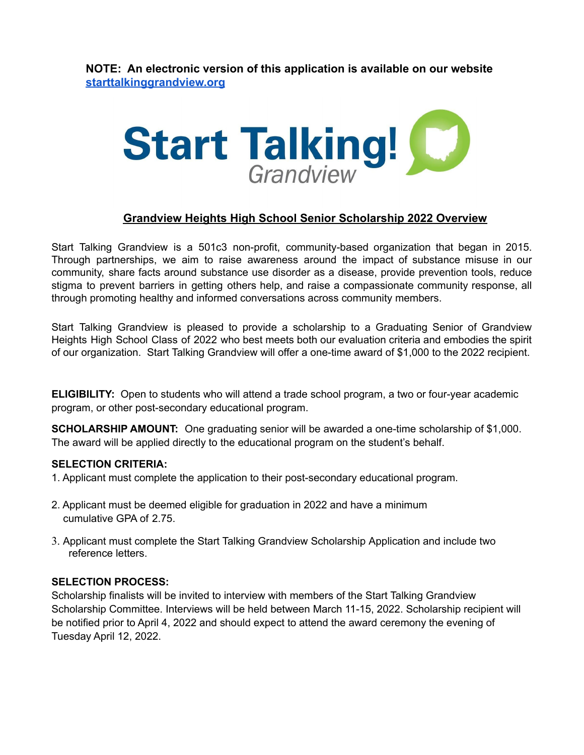**NOTE: An electronic version of this application is available on our website [starttalkinggrandview.org](https://www.starttalkinggrandview.org/)**



# **Grandview Heights High School Senior Scholarship 2022 Overview**

Start Talking Grandview is a 501c3 non-profit, community-based organization that began in 2015. Through partnerships, we aim to raise awareness around the impact of substance misuse in our community, share facts around substance use disorder as a disease, provide prevention tools, reduce stigma to prevent barriers in getting others help, and raise a compassionate community response, all through promoting healthy and informed conversations across community members.

Start Talking Grandview is pleased to provide a scholarship to a Graduating Senior of Grandview Heights High School Class of 2022 who best meets both our evaluation criteria and embodies the spirit of our organization. Start Talking Grandview will offer a one-time award of \$1,000 to the 2022 recipient.

**ELIGIBILITY:** Open to students who will attend a trade school program, a two or four-year academic program, or other post-secondary educational program.

**SCHOLARSHIP AMOUNT:** One graduating senior will be awarded a one-time scholarship of \$1,000. The award will be applied directly to the educational program on the student's behalf.

## **SELECTION CRITERIA:**

- 1. Applicant must complete the application to their post-secondary educational program.
- 2. Applicant must be deemed eligible for graduation in 2022 and have a minimum cumulative GPA of 2.75.
- 3. Applicant must complete the Start Talking Grandview Scholarship Application and include two reference letters.

## **SELECTION PROCESS:**

Scholarship finalists will be invited to interview with members of the Start Talking Grandview Scholarship Committee. Interviews will be held between March 11-15, 2022. Scholarship recipient will be notified prior to April 4, 2022 and should expect to attend the award ceremony the evening of Tuesday April 12, 2022.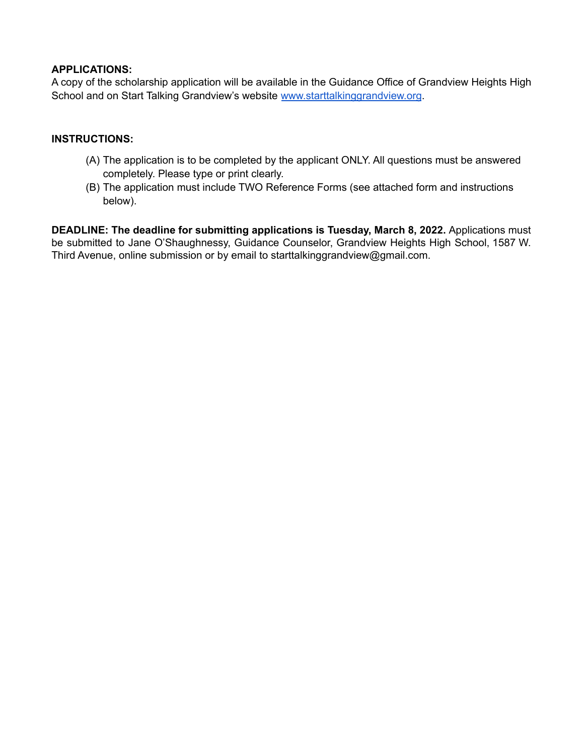## **APPLICATIONS:**

A copy of the scholarship application will be available in the Guidance Office of Grandview Heights High School and on Start Talking Grandview's website [www.starttalkinggrandview.org](http://www.starttalkinggrandview.org).

### **INSTRUCTIONS:**

- (A) The application is to be completed by the applicant ONLY. All questions must be answered completely. Please type or print clearly.
- (B) The application must include TWO Reference Forms (see attached form and instructions below).

**DEADLINE: The deadline for submitting applications is Tuesday, March 8, 2022.** Applications must be submitted to Jane O'Shaughnessy, Guidance Counselor, Grandview Heights High School, 1587 W. Third Avenue, online submission or by email to starttalkinggrandview@gmail.com.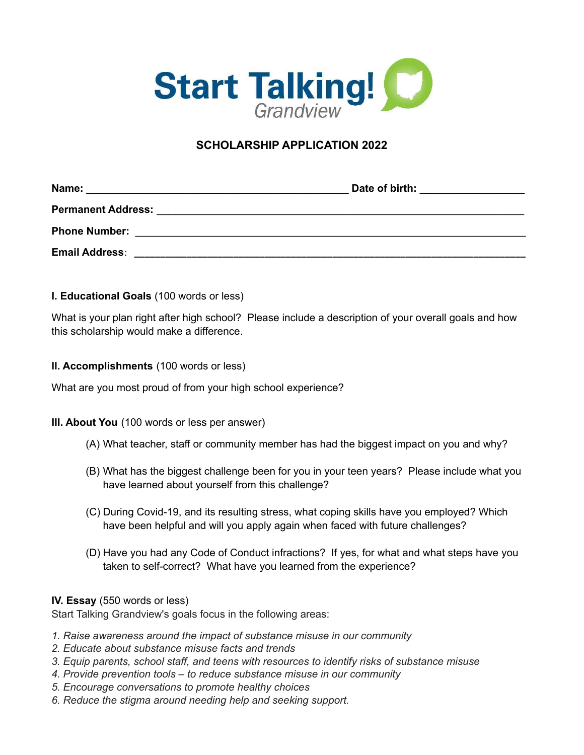

# **SCHOLARSHIP APPLICATION 2022**

| Name:                     | Date of birth: |  |  |  |  |
|---------------------------|----------------|--|--|--|--|
| <b>Permanent Address:</b> |                |  |  |  |  |
| <b>Phone Number:</b>      |                |  |  |  |  |
| <b>Email Address:</b>     |                |  |  |  |  |

**I. Educational Goals** (100 words or less)

What is your plan right after high school? Please include a description of your overall goals and how this scholarship would make a difference.

**ll. Accomplishments** (100 words or less)

What are you most proud of from your high school experience?

#### **III. About You** (100 words or less per answer)

- (A) What teacher, staff or community member has had the biggest impact on you and why?
- (B) What has the biggest challenge been for you in your teen years? Please include what you have learned about yourself from this challenge?
- (C) During Covid-19, and its resulting stress, what coping skills have you employed? Which have been helpful and will you apply again when faced with future challenges?
- (D) Have you had any Code of Conduct infractions? If yes, for what and what steps have you taken to self-correct? What have you learned from the experience?

#### **IV. Essay** (550 words or less)

Start Talking Grandview's goals focus in the following areas:

- *1. Raise awareness around the impact of substance misuse in our community*
- *2. Educate about substance misuse facts and trends*
- *3. Equip parents, school staff, and teens with resources to identify risks of substance misuse*
- *4. Provide prevention tools – to reduce substance misuse in our community*
- *5. Encourage conversations to promote healthy choices*
- *6. Reduce the stigma around needing help and seeking support.*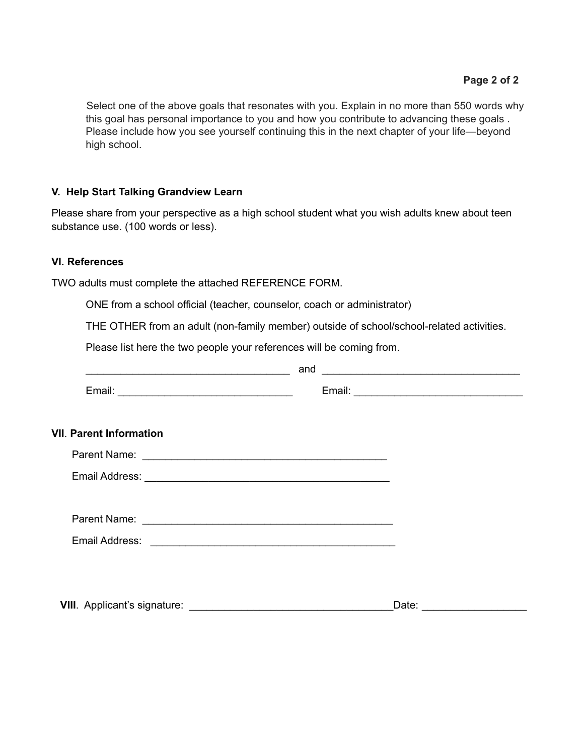Select one of the above goals that resonates with you. Explain in no more than 550 words why this goal has personal importance to you and how you contribute to advancing these goals . Please include how you see yourself continuing this in the next chapter of your life—beyond high school.

# **V. Help Start Talking Grandview Learn**

Please share from your perspective as a high school student what you wish adults knew about teen substance use. (100 words or less).

## **VI. References**

TWO adults must complete the attached REFERENCE FORM.

ONE from a school official (teacher, counselor, coach or administrator)

THE OTHER from an adult (non-family member) outside of school/school-related activities.

Please list here the two people your references will be coming from.

| <u> 1989 - Johann John Stein, fransk politik (d. 1989)</u> | and<br><u> 1989 - Johann John Stein, fransk politik (</u> |
|------------------------------------------------------------|-----------------------------------------------------------|
|                                                            |                                                           |
| <b>VII. Parent Information</b>                             |                                                           |
|                                                            |                                                           |
|                                                            |                                                           |
|                                                            |                                                           |
|                                                            |                                                           |
|                                                            |                                                           |
|                                                            |                                                           |
|                                                            |                                                           |
|                                                            | Date: _____________________                               |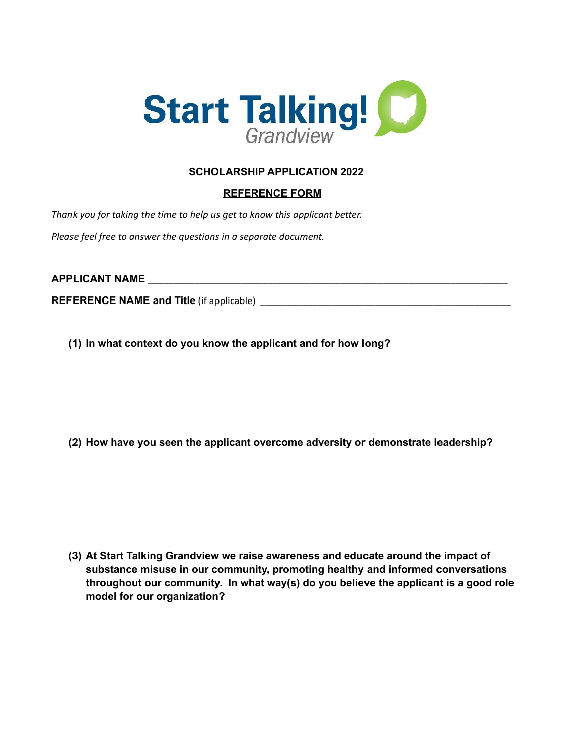

# **SCHOLARSHIP APPLICATION 2022**

# **REFERENCE FORM**

*Thank you for taking the time to help us get to know this applicant better.*

*Please feel free to answer the questions in a separate document.*

# **APPLICANT NAME** \_\_\_\_\_\_\_\_\_\_\_\_\_\_\_\_\_\_\_\_\_\_\_\_\_\_\_\_\_\_\_\_\_\_\_\_\_\_\_\_\_\_\_\_\_\_\_\_\_\_\_\_\_\_\_\_\_\_\_\_\_\_\_\_\_\_\_\_\_

**REFERENCE NAME and Title** (if applicable)

**(1) In what context do you know the applicant and for how long?**

**(2) How have you seen the applicant overcome adversity or demonstrate leadership?**

**(3) At Start Talking Grandview we raise awareness and educate around the impact of substance misuse in our community, promoting healthy and informed conversations throughout our community. In what way(s) do you believe the applicant is a good role model for our organization?**